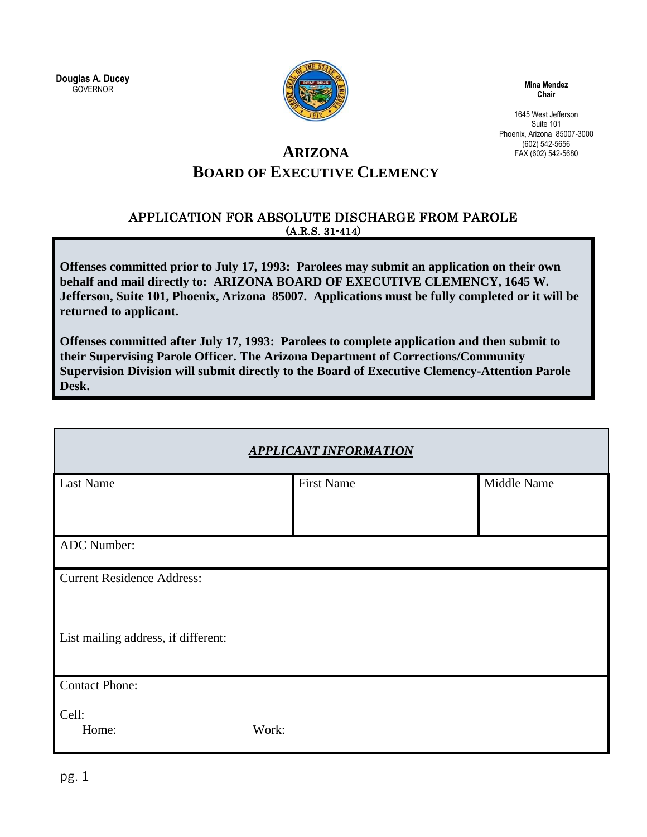**Douglas A. Ducey GOVERNOR** 



**Mina Mendez Chair**

1645 West Jefferson Suite 101 Phoenix, Arizona 85007-3000 (602) 542-5656 FAX (602) 542-5680

## **ARIZONA BOARD OF EXECUTIVE CLEMENCY**

#### APPLICATION FOR ABSOLUTE DISCHARGE FROM PAROLE (A.R.S. 31-414)

**Offenses committed prior to July 17, 1993: Parolees may submit an application on their own behalf and mail directly to: ARIZONA BOARD OF EXECUTIVE CLEMENCY, 1645 W. Jefferson, Suite 101, Phoenix, Arizona 85007. Applications must be fully completed or it will be returned to applicant.** 

**Offenses committed after July 17, 1993: Parolees to complete application and then submit to their Supervising Parole Officer. The Arizona Department of Corrections/Community Supervision Division will submit directly to the Board of Executive Clemency-Attention Parole Desk.** 

|                                     | <b>APPLICANT INFORMATION</b> |             |
|-------------------------------------|------------------------------|-------------|
| Last Name                           | <b>First Name</b>            | Middle Name |
| ADC Number:                         |                              |             |
| <b>Current Residence Address:</b>   |                              |             |
| List mailing address, if different: |                              |             |
| <b>Contact Phone:</b>               |                              |             |
| Cell:<br>Work:<br>Home:             |                              |             |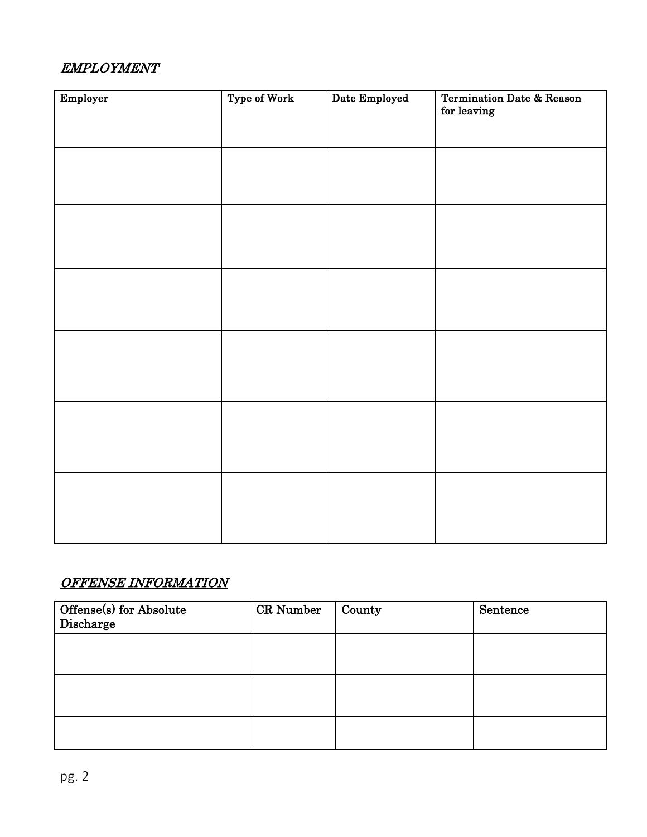## EMPLOYMENT

| Employer | Type of Work | Date Employed | <b>Termination Date &amp; Reason</b><br>for leaving |
|----------|--------------|---------------|-----------------------------------------------------|
|          |              |               |                                                     |
|          |              |               |                                                     |
|          |              |               |                                                     |
|          |              |               |                                                     |
|          |              |               |                                                     |
|          |              |               |                                                     |

#### OFFENSE INFORMATION

| Offense(s) for Absolute<br>Discharge | CR Number | County | Sentence |
|--------------------------------------|-----------|--------|----------|
|                                      |           |        |          |
|                                      |           |        |          |
|                                      |           |        |          |
|                                      |           |        |          |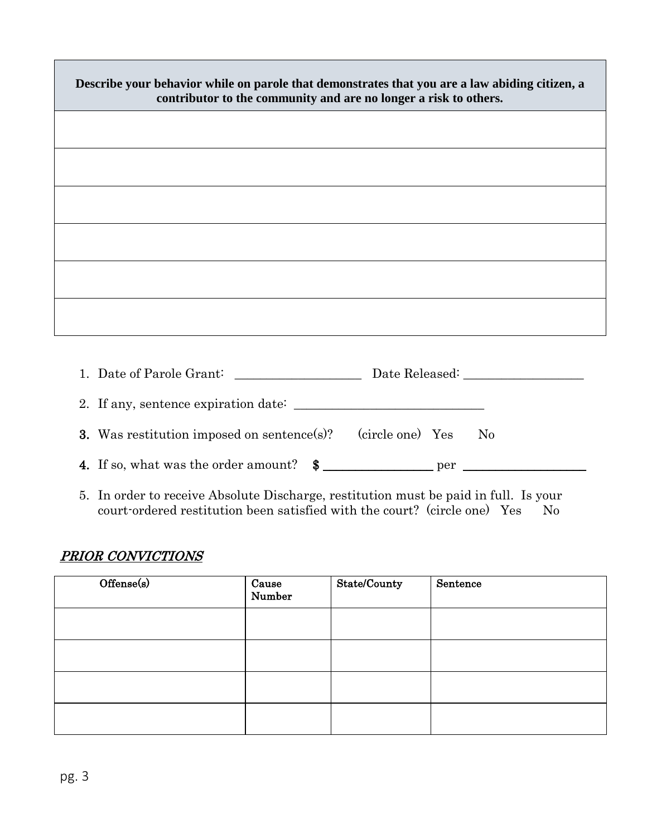| Describe your behavior while on parole that demonstrates that you are a law abiding citizen, a<br>contributor to the community and are no longer a risk to others. |  |  |
|--------------------------------------------------------------------------------------------------------------------------------------------------------------------|--|--|
|                                                                                                                                                                    |  |  |
|                                                                                                                                                                    |  |  |
|                                                                                                                                                                    |  |  |
|                                                                                                                                                                    |  |  |
|                                                                                                                                                                    |  |  |
|                                                                                                                                                                    |  |  |
|                                                                                                                                                                    |  |  |
| 1. Date of Parole Grant:                                                                                                                                           |  |  |

2. If any, sentence expiration date: \_\_\_\_\_\_\_\_\_\_\_\_\_\_\_\_\_\_\_\_\_\_\_\_\_\_\_\_\_\_

3. Was restitution imposed on sentence(s)? (circle one) Yes No

4. If so, what was the order amount?  $\quad \quad \text{\AA}$ 

5. In order to receive Absolute Discharge, restitution must be paid in full. Is your court-ordered restitution been satisfied with the court? (circle one) Yes No

## PRIOR CONVICTIONS

| Offense(s) | Cause<br>Number | State/County | Sentence |
|------------|-----------------|--------------|----------|
|            |                 |              |          |
|            |                 |              |          |
|            |                 |              |          |
|            |                 |              |          |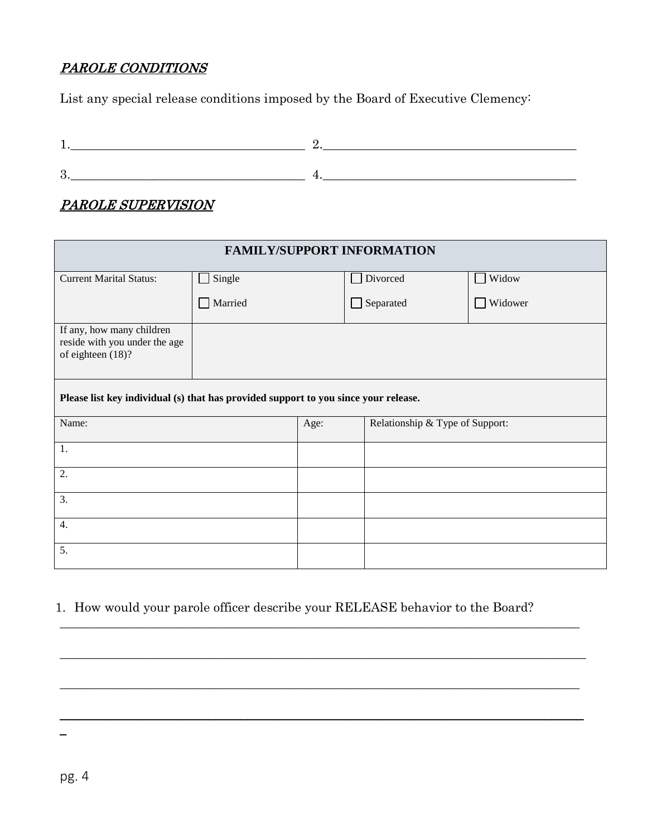#### PAROLE CONDITIONS

List any special release conditions imposed by the Board of Executive Clemency:

## PAROLE SUPERVISION

| <b>FAMILY/SUPPORT INFORMATION</b>                                                   |         |      |                                 |         |
|-------------------------------------------------------------------------------------|---------|------|---------------------------------|---------|
| <b>Current Marital Status:</b>                                                      | Single  |      | Divorced                        | Widow   |
|                                                                                     | Married |      | $\Box$ Separated                | Widower |
| If any, how many children<br>reside with you under the age<br>of eighteen (18)?     |         |      |                                 |         |
| Please list key individual (s) that has provided support to you since your release. |         |      |                                 |         |
| Name:                                                                               |         | Age: | Relationship & Type of Support: |         |
| 1.                                                                                  |         |      |                                 |         |
| 2.                                                                                  |         |      |                                 |         |
| 3.                                                                                  |         |      |                                 |         |
| 4.                                                                                  |         |      |                                 |         |
| 5.                                                                                  |         |      |                                 |         |

#### 1. How would your parole officer describe your RELEASE behavior to the Board?

\_\_\_\_\_\_\_\_\_\_\_\_\_\_\_\_\_\_\_\_\_\_\_\_\_\_\_\_\_\_\_\_\_\_\_\_\_\_\_\_\_\_\_\_\_\_\_\_\_\_\_\_\_\_\_\_\_\_\_\_\_\_\_\_\_\_\_\_\_\_\_\_\_\_\_\_\_\_\_\_\_\_

 $\_$  , and the set of the set of the set of the set of the set of the set of the set of the set of the set of the set of the set of the set of the set of the set of the set of the set of the set of the set of the set of th

\_\_\_\_\_\_\_\_\_\_\_\_\_\_\_\_\_\_\_\_\_\_\_\_\_\_\_\_\_\_\_\_\_\_\_\_\_\_\_\_\_\_\_\_\_\_\_\_\_\_\_\_\_\_\_\_\_\_\_\_\_\_\_\_\_\_\_\_\_\_\_\_\_\_\_\_\_\_\_\_\_\_

\_\_\_\_\_\_\_\_\_\_\_\_\_\_\_\_\_\_\_\_\_\_\_\_\_\_\_\_\_\_\_\_\_\_\_\_\_\_\_\_\_\_\_\_\_\_\_\_\_\_\_\_\_\_\_\_\_\_\_\_\_\_\_\_\_\_\_\_\_\_\_\_\_\_\_\_\_\_\_\_\_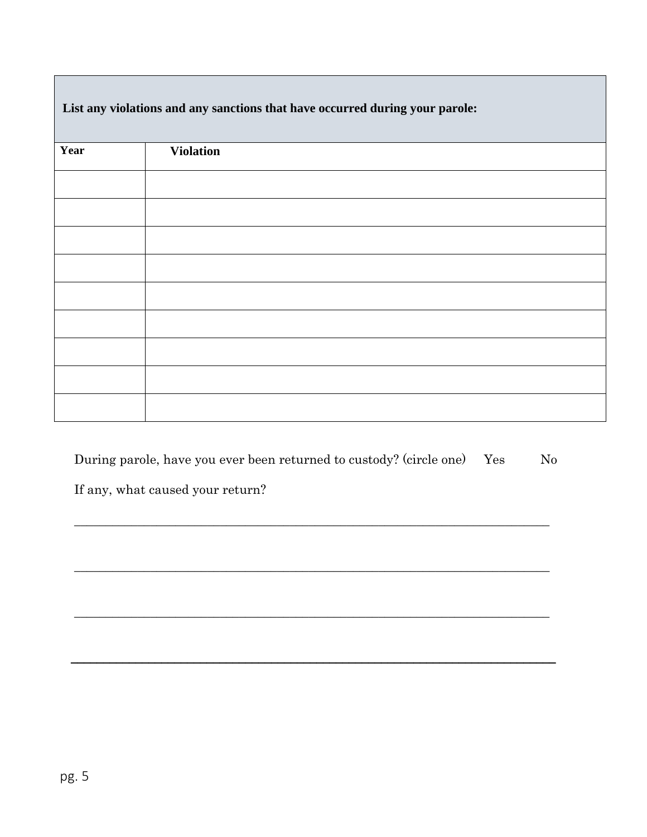|      | $\cdot$          | $\mathbf{v}$ $\mathbf{r}$ |  |
|------|------------------|---------------------------|--|
| Year | <b>Violation</b> |                           |  |
|      |                  |                           |  |
|      |                  |                           |  |
|      |                  |                           |  |
|      |                  |                           |  |
|      |                  |                           |  |
|      |                  |                           |  |
|      |                  |                           |  |
|      |                  |                           |  |
|      |                  |                           |  |
|      |                  |                           |  |

**List any violations and any sanctions that have occurred during your parole:**

| During parole, have you ever been returned to custody? (circle one) Yes | N <sub>0</sub> |
|-------------------------------------------------------------------------|----------------|
| If any, what caused your return?                                        |                |

\_\_\_\_\_\_\_\_\_\_\_\_\_\_\_\_\_\_\_\_\_\_\_\_\_\_\_\_\_\_\_\_\_\_\_\_\_\_\_\_\_\_\_\_\_\_\_\_\_\_\_\_\_\_\_\_\_\_\_\_\_\_\_\_\_\_\_\_\_\_\_\_\_\_\_

\_\_\_\_\_\_\_\_\_\_\_\_\_\_\_\_\_\_\_\_\_\_\_\_\_\_\_\_\_\_\_\_\_\_\_\_\_\_\_\_\_\_\_\_\_\_\_\_\_\_\_\_\_\_\_\_\_\_\_\_\_\_\_\_\_\_\_\_\_\_\_\_\_\_\_

\_\_\_\_\_\_\_\_\_\_\_\_\_\_\_\_\_\_\_\_\_\_\_\_\_\_\_\_\_\_\_\_\_\_\_\_\_\_\_\_\_\_\_\_\_\_\_\_\_\_\_\_\_\_\_\_\_\_\_\_\_\_\_\_\_\_\_\_\_\_\_\_\_\_\_

\_\_\_\_\_\_\_\_\_\_\_\_\_\_\_\_\_\_\_\_\_\_\_\_\_\_\_\_\_\_\_\_\_\_\_\_\_\_\_\_\_\_\_\_\_\_\_\_\_\_\_\_\_\_\_\_\_\_\_\_\_\_\_\_\_\_\_\_\_\_\_\_\_\_\_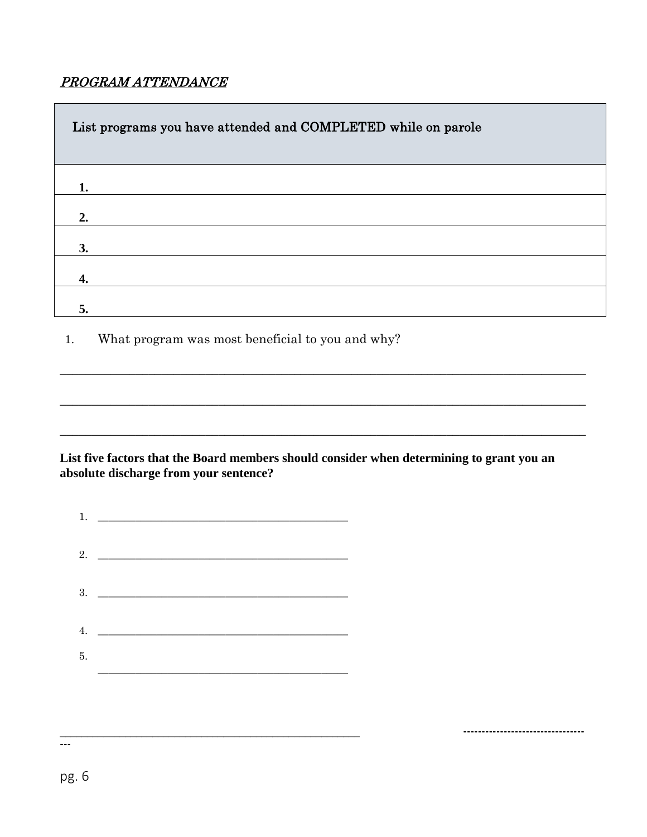## PROGRAM ATTENDANCE

| List programs you have attended and COMPLETED while on parole |
|---------------------------------------------------------------|
| 1.                                                            |
| 2.                                                            |
| 3.                                                            |
| 4.                                                            |
| 5.                                                            |

What program was most beneficial to you and why?  $1.$ 

#### List five factors that the Board members should consider when determining to grant you an absolute discharge from your sentence?

---------------------------------

| 1. |                    |  |
|----|--------------------|--|
|    | 2. $\qquad \qquad$ |  |
|    |                    |  |
| 4. |                    |  |
| 5. |                    |  |

 $\overline{\phantom{a}}$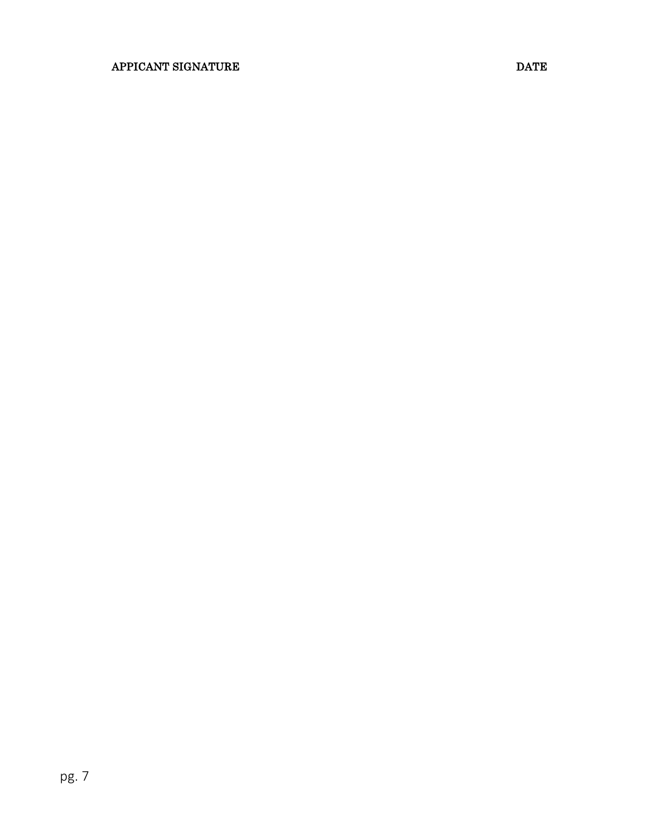#### APPICANT SIGNATURE DATE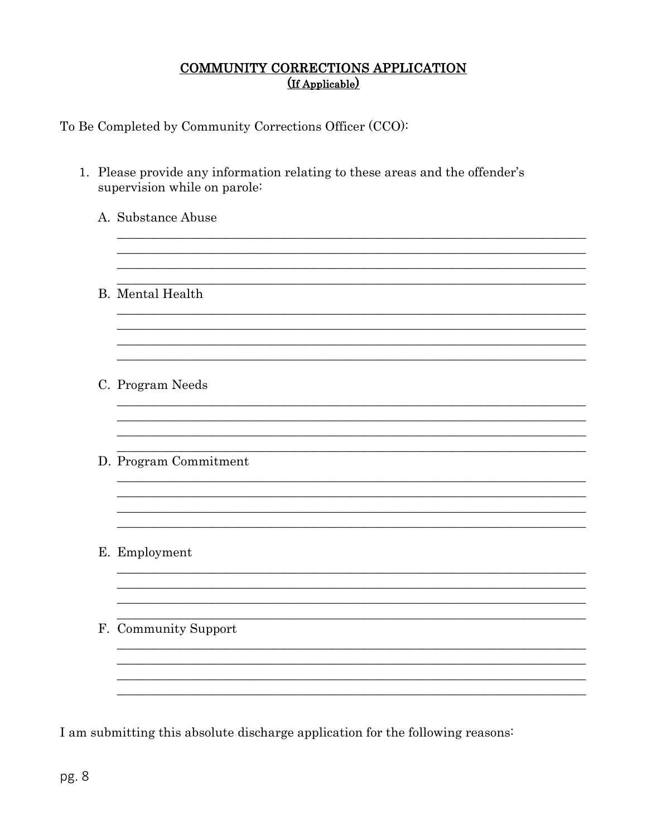# COMMUNITY CORRECTIONS APPLICATION

To Be Completed by Community Corrections Officer (CCO):

| A. Substance Abuse      |
|-------------------------|
|                         |
| <b>B.</b> Mental Health |
|                         |
| C. Program Needs        |
|                         |
| D. Program Commitment   |
|                         |
| E. Employment           |
|                         |
| F. Community Support    |
|                         |

I am submitting this absolute discharge application for the following reasons: